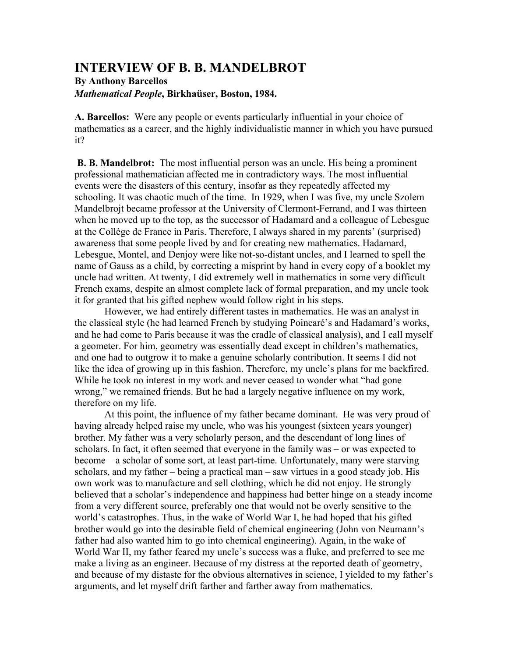# **INTERVIEW OF B. B. MANDELBROT By Anthony Barcellos**  *Mathematical People***, Birkhaüser, Boston, 1984.**

**A. Barcellos:** Were any people or events particularly influential in your choice of mathematics as a career, and the highly individualistic manner in which you have pursued it?

 **B. B. Mandelbrot:** The most influential person was an uncle. His being a prominent professional mathematician affected me in contradictory ways. The most influential events were the disasters of this century, insofar as they repeatedly affected my schooling. It was chaotic much of the time. In 1929, when I was five, my uncle Szolem Mandelbrojt became professor at the University of Clermont-Ferrand, and I was thirteen when he moved up to the top, as the successor of Hadamard and a colleague of Lebesgue at the Collège de France in Paris. Therefore, I always shared in my parents' (surprised) awareness that some people lived by and for creating new mathematics. Hadamard, Lebesgue, Montel, and Denjoy were like not-so-distant uncles, and I learned to spell the name of Gauss as a child, by correcting a misprint by hand in every copy of a booklet my uncle had written. At twenty, I did extremely well in mathematics in some very difficult French exams, despite an almost complete lack of formal preparation, and my uncle took it for granted that his gifted nephew would follow right in his steps.

However, we had entirely different tastes in mathematics. He was an analyst in the classical style (he had learned French by studying Poincaré's and Hadamard's works, and he had come to Paris because it was the cradle of classical analysis), and I call myself a geometer. For him, geometry was essentially dead except in children's mathematics, and one had to outgrow it to make a genuine scholarly contribution. It seems I did not like the idea of growing up in this fashion. Therefore, my uncle's plans for me backfired. While he took no interest in my work and never ceased to wonder what "had gone wrong," we remained friends. But he had a largely negative influence on my work, therefore on my life.

At this point, the influence of my father became dominant. He was very proud of having already helped raise my uncle, who was his youngest (sixteen years younger) brother. My father was a very scholarly person, and the descendant of long lines of scholars. In fact, it often seemed that everyone in the family was – or was expected to become – a scholar of some sort, at least part-time. Unfortunately, many were starving scholars, and my father – being a practical man – saw virtues in a good steady job. His own work was to manufacture and sell clothing, which he did not enjoy. He strongly believed that a scholar's independence and happiness had better hinge on a steady income from a very different source, preferably one that would not be overly sensitive to the world's catastrophes. Thus, in the wake of World War I, he had hoped that his gifted brother would go into the desirable field of chemical engineering (John von Neumann's father had also wanted him to go into chemical engineering). Again, in the wake of World War II, my father feared my uncle's success was a fluke, and preferred to see me make a living as an engineer. Because of my distress at the reported death of geometry, and because of my distaste for the obvious alternatives in science, I yielded to my father's arguments, and let myself drift farther and farther away from mathematics.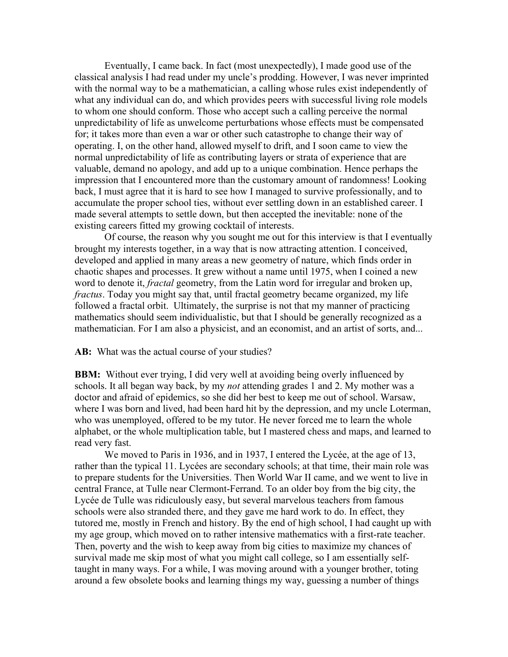Eventually, I came back. In fact (most unexpectedly), I made good use of the classical analysis I had read under my uncle's prodding. However, I was never imprinted with the normal way to be a mathematician, a calling whose rules exist independently of what any individual can do, and which provides peers with successful living role models to whom one should conform. Those who accept such a calling perceive the normal unpredictability of life as unwelcome perturbations whose effects must be compensated for; it takes more than even a war or other such catastrophe to change their way of operating. I, on the other hand, allowed myself to drift, and I soon came to view the normal unpredictability of life as contributing layers or strata of experience that are valuable, demand no apology, and add up to a unique combination. Hence perhaps the impression that I encountered more than the customary amount of randomness! Looking back, I must agree that it is hard to see how I managed to survive professionally, and to accumulate the proper school ties, without ever settling down in an established career. I made several attempts to settle down, but then accepted the inevitable: none of the existing careers fitted my growing cocktail of interests.

Of course, the reason why you sought me out for this interview is that I eventually brought my interests together, in a way that is now attracting attention. I conceived, developed and applied in many areas a new geometry of nature, which finds order in chaotic shapes and processes. It grew without a name until 1975, when I coined a new word to denote it, *fractal* geometry, from the Latin word for irregular and broken up, *fractus*. Today you might say that, until fractal geometry became organized, my life followed a fractal orbit. Ultimately, the surprise is not that my manner of practicing mathematics should seem individualistic, but that I should be generally recognized as a mathematician. For I am also a physicist, and an economist, and an artist of sorts, and...

AB: What was the actual course of your studies?

**BBM:** Without ever trying, I did very well at avoiding being overly influenced by schools. It all began way back, by my *not* attending grades 1 and 2. My mother was a doctor and afraid of epidemics, so she did her best to keep me out of school. Warsaw, where I was born and lived, had been hard hit by the depression, and my uncle Loterman, who was unemployed, offered to be my tutor. He never forced me to learn the whole alphabet, or the whole multiplication table, but I mastered chess and maps, and learned to read very fast.

We moved to Paris in 1936, and in 1937, I entered the Lycée, at the age of 13, rather than the typical 11. Lycées are secondary schools; at that time, their main role was to prepare students for the Universities. Then World War II came, and we went to live in central France, at Tulle near Clermont-Ferrand. To an older boy from the big city, the Lycée de Tulle was ridiculously easy, but several marvelous teachers from famous schools were also stranded there, and they gave me hard work to do. In effect, they tutored me, mostly in French and history. By the end of high school, I had caught up with my age group, which moved on to rather intensive mathematics with a first-rate teacher. Then, poverty and the wish to keep away from big cities to maximize my chances of survival made me skip most of what you might call college, so I am essentially selftaught in many ways. For a while, I was moving around with a younger brother, toting around a few obsolete books and learning things my way, guessing a number of things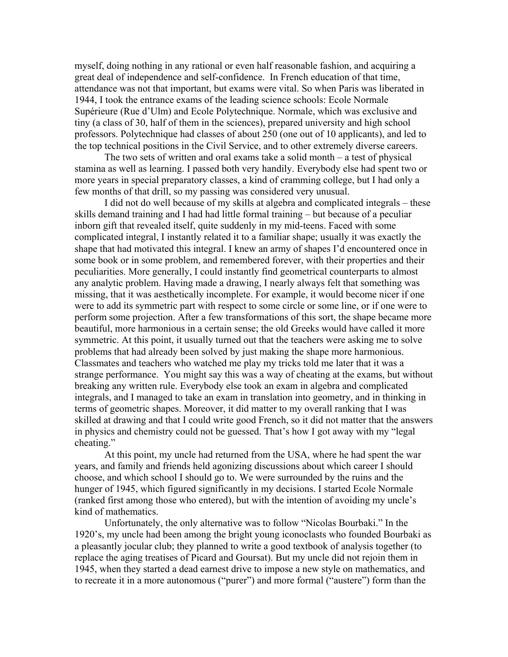myself, doing nothing in any rational or even half reasonable fashion, and acquiring a great deal of independence and self-confidence. In French education of that time, attendance was not that important, but exams were vital. So when Paris was liberated in 1944, I took the entrance exams of the leading science schools: Ecole Normale Supérieure (Rue d'Ulm) and Ecole Polytechnique. Normale, which was exclusive and tiny (a class of 30, half of them in the sciences), prepared university and high school professors. Polytechnique had classes of about 250 (one out of 10 applicants), and led to the top technical positions in the Civil Service, and to other extremely diverse careers.

The two sets of written and oral exams take a solid month – a test of physical stamina as well as learning. I passed both very handily. Everybody else had spent two or more years in special preparatory classes, a kind of cramming college, but I had only a few months of that drill, so my passing was considered very unusual.

I did not do well because of my skills at algebra and complicated integrals – these skills demand training and I had had little formal training – but because of a peculiar inborn gift that revealed itself, quite suddenly in my mid-teens. Faced with some complicated integral, I instantly related it to a familiar shape; usually it was exactly the shape that had motivated this integral. I knew an army of shapes I'd encountered once in some book or in some problem, and remembered forever, with their properties and their peculiarities. More generally, I could instantly find geometrical counterparts to almost any analytic problem. Having made a drawing, I nearly always felt that something was missing, that it was aesthetically incomplete. For example, it would become nicer if one were to add its symmetric part with respect to some circle or some line, or if one were to perform some projection. After a few transformations of this sort, the shape became more beautiful, more harmonious in a certain sense; the old Greeks would have called it more symmetric. At this point, it usually turned out that the teachers were asking me to solve problems that had already been solved by just making the shape more harmonious. Classmates and teachers who watched me play my tricks told me later that it was a strange performance. You might say this was a way of cheating at the exams, but without breaking any written rule. Everybody else took an exam in algebra and complicated integrals, and I managed to take an exam in translation into geometry, and in thinking in terms of geometric shapes. Moreover, it did matter to my overall ranking that I was skilled at drawing and that I could write good French, so it did not matter that the answers in physics and chemistry could not be guessed. That's how I got away with my "legal cheating."

At this point, my uncle had returned from the USA, where he had spent the war years, and family and friends held agonizing discussions about which career I should choose, and which school I should go to. We were surrounded by the ruins and the hunger of 1945, which figured significantly in my decisions. I started Ecole Normale (ranked first among those who entered), but with the intention of avoiding my uncle's kind of mathematics.

Unfortunately, the only alternative was to follow "Nicolas Bourbaki." In the 1920's, my uncle had been among the bright young iconoclasts who founded Bourbaki as a pleasantly jocular club; they planned to write a good textbook of analysis together (to replace the aging treatises of Picard and Goursat). But my uncle did not rejoin them in 1945, when they started a dead earnest drive to impose a new style on mathematics, and to recreate it in a more autonomous ("purer") and more formal ("austere") form than the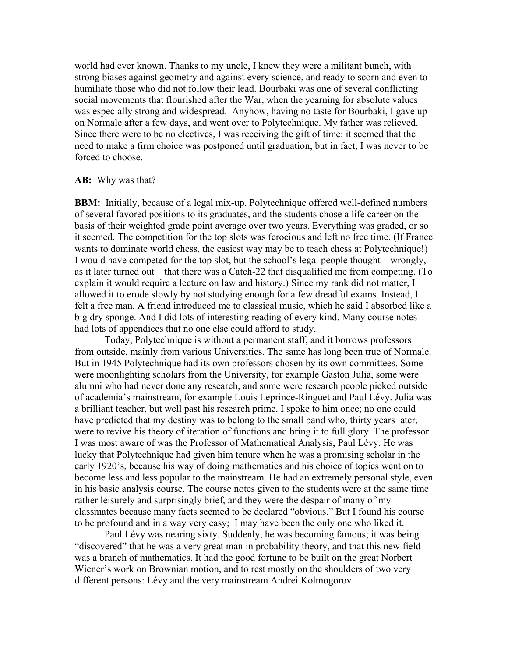world had ever known. Thanks to my uncle, I knew they were a militant bunch, with strong biases against geometry and against every science, and ready to scorn and even to humiliate those who did not follow their lead. Bourbaki was one of several conflicting social movements that flourished after the War, when the yearning for absolute values was especially strong and widespread. Anyhow, having no taste for Bourbaki, I gave up on Normale after a few days, and went over to Polytechnique. My father was relieved. Since there were to be no electives, I was receiving the gift of time: it seemed that the need to make a firm choice was postponed until graduation, but in fact, I was never to be forced to choose.

#### **AB:** Why was that?

**BBM:** Initially, because of a legal mix-up. Polytechnique offered well-defined numbers of several favored positions to its graduates, and the students chose a life career on the basis of their weighted grade point average over two years. Everything was graded, or so it seemed. The competition for the top slots was ferocious and left no free time. (If France wants to dominate world chess, the easiest way may be to teach chess at Polytechnique!) I would have competed for the top slot, but the school's legal people thought – wrongly, as it later turned out – that there was a Catch-22 that disqualified me from competing. (To explain it would require a lecture on law and history.) Since my rank did not matter, I allowed it to erode slowly by not studying enough for a few dreadful exams. Instead, I felt a free man. A friend introduced me to classical music, which he said I absorbed like a big dry sponge. And I did lots of interesting reading of every kind. Many course notes had lots of appendices that no one else could afford to study.

Today, Polytechnique is without a permanent staff, and it borrows professors from outside, mainly from various Universities. The same has long been true of Normale. But in 1945 Polytechnique had its own professors chosen by its own committees. Some were moonlighting scholars from the University, for example Gaston Julia, some were alumni who had never done any research, and some were research people picked outside of academia's mainstream, for example Louis Leprince-Ringuet and Paul Lévy. Julia was a brilliant teacher, but well past his research prime. I spoke to him once; no one could have predicted that my destiny was to belong to the small band who, thirty years later, were to revive his theory of iteration of functions and bring it to full glory. The professor I was most aware of was the Professor of Mathematical Analysis, Paul Lévy. He was lucky that Polytechnique had given him tenure when he was a promising scholar in the early 1920's, because his way of doing mathematics and his choice of topics went on to become less and less popular to the mainstream. He had an extremely personal style, even in his basic analysis course. The course notes given to the students were at the same time rather leisurely and surprisingly brief, and they were the despair of many of my classmates because many facts seemed to be declared "obvious." But I found his course to be profound and in a way very easy; I may have been the only one who liked it.

Paul Lévy was nearing sixty. Suddenly, he was becoming famous; it was being "discovered" that he was a very great man in probability theory, and that this new field was a branch of mathematics. It had the good fortune to be built on the great Norbert Wiener's work on Brownian motion, and to rest mostly on the shoulders of two very different persons: Lévy and the very mainstream Andrei Kolmogorov.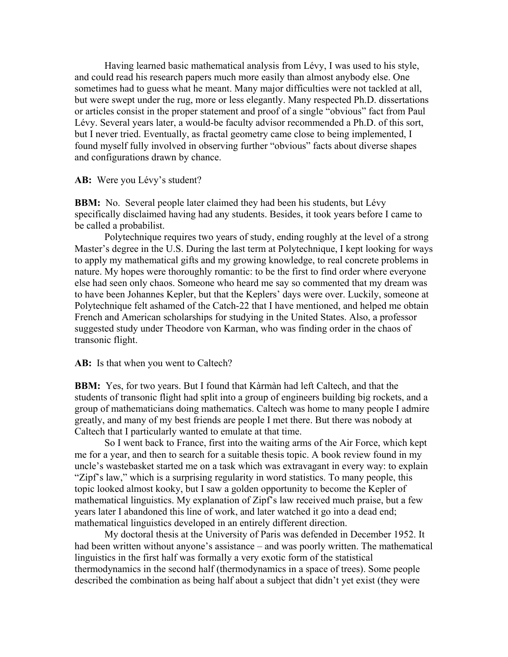Having learned basic mathematical analysis from Lévy, I was used to his style, and could read his research papers much more easily than almost anybody else. One sometimes had to guess what he meant. Many major difficulties were not tackled at all, but were swept under the rug, more or less elegantly. Many respected Ph.D. dissertations or articles consist in the proper statement and proof of a single "obvious" fact from Paul Lévy. Several years later, a would-be faculty advisor recommended a Ph.D. of this sort, but I never tried. Eventually, as fractal geometry came close to being implemented, I found myself fully involved in observing further "obvious" facts about diverse shapes and configurations drawn by chance.

### **AB:** Were you Lévy's student?

**BBM:** No. Several people later claimed they had been his students, but Lévy specifically disclaimed having had any students. Besides, it took years before I came to be called a probabilist.

Polytechnique requires two years of study, ending roughly at the level of a strong Master's degree in the U.S. During the last term at Polytechnique, I kept looking for ways to apply my mathematical gifts and my growing knowledge, to real concrete problems in nature. My hopes were thoroughly romantic: to be the first to find order where everyone else had seen only chaos. Someone who heard me say so commented that my dream was to have been Johannes Kepler, but that the Keplers' days were over. Luckily, someone at Polytechnique felt ashamed of the Catch-22 that I have mentioned, and helped me obtain French and American scholarships for studying in the United States. Also, a professor suggested study under Theodore von Karman, who was finding order in the chaos of transonic flight.

### AB: Is that when you went to Caltech?

**BBM:** Yes, for two years. But I found that Kàrmàn had left Caltech, and that the students of transonic flight had split into a group of engineers building big rockets, and a group of mathematicians doing mathematics. Caltech was home to many people I admire greatly, and many of my best friends are people I met there. But there was nobody at Caltech that I particularly wanted to emulate at that time.

So I went back to France, first into the waiting arms of the Air Force, which kept me for a year, and then to search for a suitable thesis topic. A book review found in my uncle's wastebasket started me on a task which was extravagant in every way: to explain "Zipf's law," which is a surprising regularity in word statistics. To many people, this topic looked almost kooky, but I saw a golden opportunity to become the Kepler of mathematical linguistics. My explanation of Zipf's law received much praise, but a few years later I abandoned this line of work, and later watched it go into a dead end; mathematical linguistics developed in an entirely different direction.

My doctoral thesis at the University of Paris was defended in December 1952. It had been written without anyone's assistance – and was poorly written. The mathematical linguistics in the first half was formally a very exotic form of the statistical thermodynamics in the second half (thermodynamics in a space of trees). Some people described the combination as being half about a subject that didn't yet exist (they were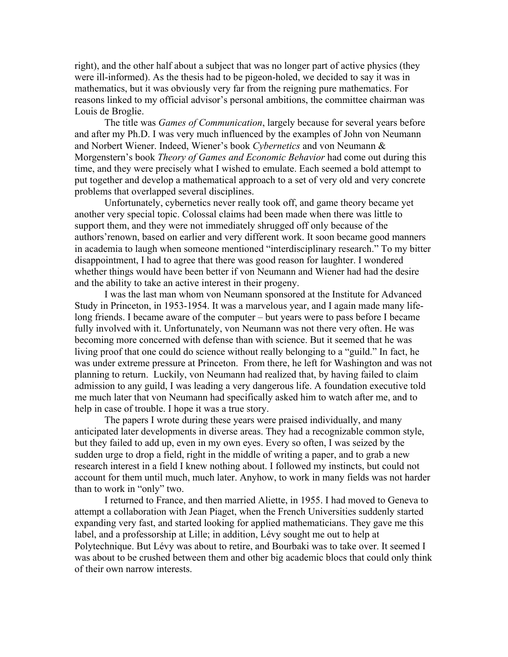right), and the other half about a subject that was no longer part of active physics (they were ill-informed). As the thesis had to be pigeon-holed, we decided to say it was in mathematics, but it was obviously very far from the reigning pure mathematics. For reasons linked to my official advisor's personal ambitions, the committee chairman was Louis de Broglie.

The title was *Games of Communication*, largely because for several years before and after my Ph.D. I was very much influenced by the examples of John von Neumann and Norbert Wiener. Indeed, Wiener's book *Cybernetics* and von Neumann & Morgenstern's book *Theory of Games and Economic Behavior* had come out during this time, and they were precisely what I wished to emulate. Each seemed a bold attempt to put together and develop a mathematical approach to a set of very old and very concrete problems that overlapped several disciplines.

Unfortunately, cybernetics never really took off, and game theory became yet another very special topic. Colossal claims had been made when there was little to support them, and they were not immediately shrugged off only because of the authors'renown, based on earlier and very different work. It soon became good manners in academia to laugh when someone mentioned "interdisciplinary research." To my bitter disappointment, I had to agree that there was good reason for laughter. I wondered whether things would have been better if von Neumann and Wiener had had the desire and the ability to take an active interest in their progeny.

I was the last man whom von Neumann sponsored at the Institute for Advanced Study in Princeton, in 1953-1954. It was a marvelous year, and I again made many lifelong friends. I became aware of the computer – but years were to pass before I became fully involved with it. Unfortunately, von Neumann was not there very often. He was becoming more concerned with defense than with science. But it seemed that he was living proof that one could do science without really belonging to a "guild." In fact, he was under extreme pressure at Princeton. From there, he left for Washington and was not planning to return. Luckily, von Neumann had realized that, by having failed to claim admission to any guild, I was leading a very dangerous life. A foundation executive told me much later that von Neumann had specifically asked him to watch after me, and to help in case of trouble. I hope it was a true story.

The papers I wrote during these years were praised individually, and many anticipated later developments in diverse areas. They had a recognizable common style, but they failed to add up, even in my own eyes. Every so often, I was seized by the sudden urge to drop a field, right in the middle of writing a paper, and to grab a new research interest in a field I knew nothing about. I followed my instincts, but could not account for them until much, much later. Anyhow, to work in many fields was not harder than to work in "only" two.

I returned to France, and then married Aliette, in 1955. I had moved to Geneva to attempt a collaboration with Jean Piaget, when the French Universities suddenly started expanding very fast, and started looking for applied mathematicians. They gave me this label, and a professorship at Lille; in addition, Lévy sought me out to help at Polytechnique. But Lévy was about to retire, and Bourbaki was to take over. It seemed I was about to be crushed between them and other big academic blocs that could only think of their own narrow interests.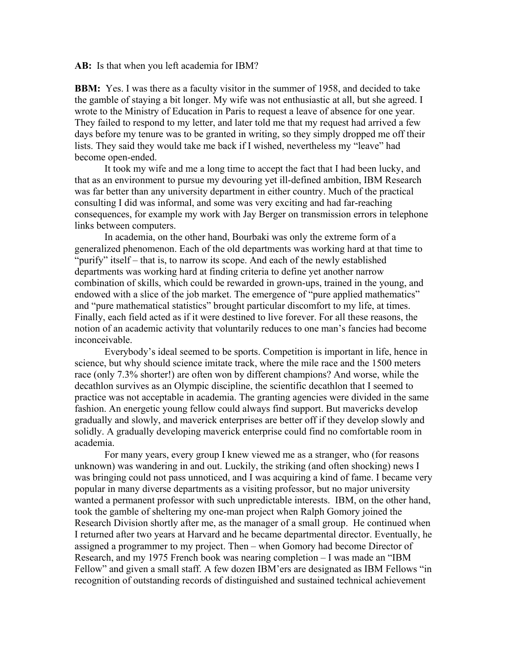## **AB:** Is that when you left academia for IBM?

**BBM:** Yes. I was there as a faculty visitor in the summer of 1958, and decided to take the gamble of staying a bit longer. My wife was not enthusiastic at all, but she agreed. I wrote to the Ministry of Education in Paris to request a leave of absence for one year. They failed to respond to my letter, and later told me that my request had arrived a few days before my tenure was to be granted in writing, so they simply dropped me off their lists. They said they would take me back if I wished, nevertheless my "leave" had become open-ended.

It took my wife and me a long time to accept the fact that I had been lucky, and that as an environment to pursue my devouring yet ill-defined ambition, IBM Research was far better than any university department in either country. Much of the practical consulting I did was informal, and some was very exciting and had far-reaching consequences, for example my work with Jay Berger on transmission errors in telephone links between computers.

In academia, on the other hand, Bourbaki was only the extreme form of a generalized phenomenon. Each of the old departments was working hard at that time to "purify" itself – that is, to narrow its scope. And each of the newly established departments was working hard at finding criteria to define yet another narrow combination of skills, which could be rewarded in grown-ups, trained in the young, and endowed with a slice of the job market. The emergence of "pure applied mathematics" and "pure mathematical statistics" brought particular discomfort to my life, at times. Finally, each field acted as if it were destined to live forever. For all these reasons, the notion of an academic activity that voluntarily reduces to one man's fancies had become inconceivable.

Everybody's ideal seemed to be sports. Competition is important in life, hence in science, but why should science imitate track, where the mile race and the 1500 meters race (only 7.3% shorter!) are often won by different champions? And worse, while the decathlon survives as an Olympic discipline, the scientific decathlon that I seemed to practice was not acceptable in academia. The granting agencies were divided in the same fashion. An energetic young fellow could always find support. But mavericks develop gradually and slowly, and maverick enterprises are better off if they develop slowly and solidly. A gradually developing maverick enterprise could find no comfortable room in academia.

For many years, every group I knew viewed me as a stranger, who (for reasons unknown) was wandering in and out. Luckily, the striking (and often shocking) news I was bringing could not pass unnoticed, and I was acquiring a kind of fame. I became very popular in many diverse departments as a visiting professor, but no major university wanted a permanent professor with such unpredictable interests. IBM, on the other hand, took the gamble of sheltering my one-man project when Ralph Gomory joined the Research Division shortly after me, as the manager of a small group. He continued when I returned after two years at Harvard and he became departmental director. Eventually, he assigned a programmer to my project. Then – when Gomory had become Director of Research, and my 1975 French book was nearing completion – I was made an "IBM Fellow" and given a small staff. A few dozen IBM'ers are designated as IBM Fellows "in recognition of outstanding records of distinguished and sustained technical achievement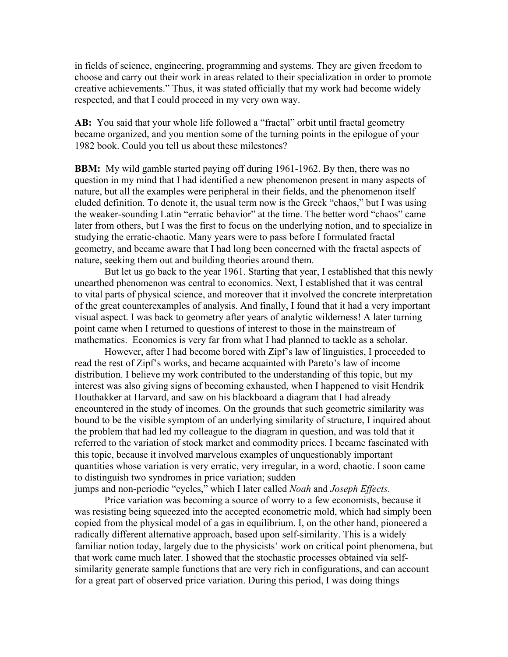in fields of science, engineering, programming and systems. They are given freedom to choose and carry out their work in areas related to their specialization in order to promote creative achievements." Thus, it was stated officially that my work had become widely respected, and that I could proceed in my very own way.

AB: You said that your whole life followed a "fractal" orbit until fractal geometry became organized, and you mention some of the turning points in the epilogue of your 1982 book. Could you tell us about these milestones?

**BBM:** My wild gamble started paying off during 1961-1962. By then, there was no question in my mind that I had identified a new phenomenon present in many aspects of nature, but all the examples were peripheral in their fields, and the phenomenon itself eluded definition. To denote it, the usual term now is the Greek "chaos," but I was using the weaker-sounding Latin "erratic behavior" at the time. The better word "chaos" came later from others, but I was the first to focus on the underlying notion, and to specialize in studying the erratic-chaotic. Many years were to pass before I formulated fractal geometry, and became aware that I had long been concerned with the fractal aspects of nature, seeking them out and building theories around them.

But let us go back to the year 1961. Starting that year, I established that this newly unearthed phenomenon was central to economics. Next, I established that it was central to vital parts of physical science, and moreover that it involved the concrete interpretation of the great counterexamples of analysis. And finally, I found that it had a very important visual aspect. I was back to geometry after years of analytic wilderness! A later turning point came when I returned to questions of interest to those in the mainstream of mathematics. Economics is very far from what I had planned to tackle as a scholar.

However, after I had become bored with Zipf's law of linguistics, I proceeded to read the rest of Zipf's works, and became acquainted with Pareto's law of income distribution. I believe my work contributed to the understanding of this topic, but my interest was also giving signs of becoming exhausted, when I happened to visit Hendrik Houthakker at Harvard, and saw on his blackboard a diagram that I had already encountered in the study of incomes. On the grounds that such geometric similarity was bound to be the visible symptom of an underlying similarity of structure, I inquired about the problem that had led my colleague to the diagram in question, and was told that it referred to the variation of stock market and commodity prices. I became fascinated with this topic, because it involved marvelous examples of unquestionably important quantities whose variation is very erratic, very irregular, in a word, chaotic. I soon came to distinguish two syndromes in price variation; sudden jumps and non-periodic "cycles," which I later called *Noah* and *Joseph Effects*.

Price variation was becoming a source of worry to a few economists, because it was resisting being squeezed into the accepted econometric mold, which had simply been copied from the physical model of a gas in equilibrium. I, on the other hand, pioneered a radically different alternative approach, based upon self-similarity. This is a widely familiar notion today, largely due to the physicists' work on critical point phenomena, but that work came much later. I showed that the stochastic processes obtained via selfsimilarity generate sample functions that are very rich in configurations, and can account for a great part of observed price variation. During this period, I was doing things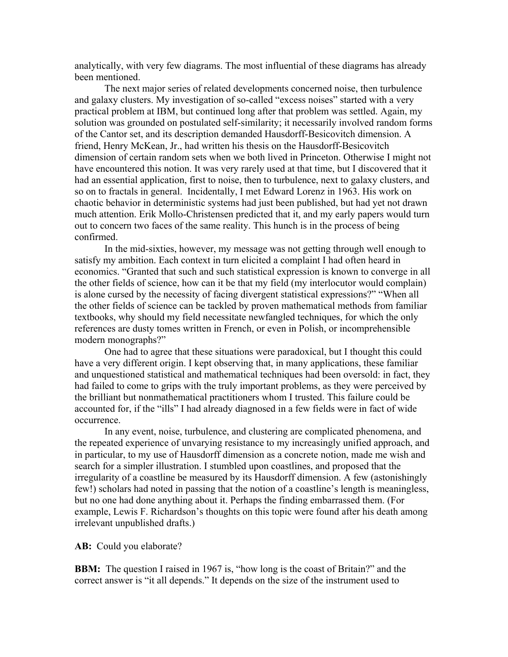analytically, with very few diagrams. The most influential of these diagrams has already been mentioned.

The next major series of related developments concerned noise, then turbulence and galaxy clusters. My investigation of so-called "excess noises" started with a very practical problem at IBM, but continued long after that problem was settled. Again, my solution was grounded on postulated self-similarity; it necessarily involved random forms of the Cantor set, and its description demanded Hausdorff-Besicovitch dimension. A friend, Henry McKean, Jr., had written his thesis on the Hausdorff-Besicovitch dimension of certain random sets when we both lived in Princeton. Otherwise I might not have encountered this notion. It was very rarely used at that time, but I discovered that it had an essential application, first to noise, then to turbulence, next to galaxy clusters, and so on to fractals in general. Incidentally, I met Edward Lorenz in 1963. His work on chaotic behavior in deterministic systems had just been published, but had yet not drawn much attention. Erik Mollo-Christensen predicted that it, and my early papers would turn out to concern two faces of the same reality. This hunch is in the process of being confirmed.

In the mid-sixties, however, my message was not getting through well enough to satisfy my ambition. Each context in turn elicited a complaint I had often heard in economics. "Granted that such and such statistical expression is known to converge in all the other fields of science, how can it be that my field (my interlocutor would complain) is alone cursed by the necessity of facing divergent statistical expressions?" "When all the other fields of science can be tackled by proven mathematical methods from familiar textbooks, why should my field necessitate newfangled techniques, for which the only references are dusty tomes written in French, or even in Polish, or incomprehensible modern monographs?"

One had to agree that these situations were paradoxical, but I thought this could have a very different origin. I kept observing that, in many applications, these familiar and unquestioned statistical and mathematical techniques had been oversold: in fact, they had failed to come to grips with the truly important problems, as they were perceived by the brilliant but nonmathematical practitioners whom I trusted. This failure could be accounted for, if the "ills" I had already diagnosed in a few fields were in fact of wide occurrence.

In any event, noise, turbulence, and clustering are complicated phenomena, and the repeated experience of unvarying resistance to my increasingly unified approach, and in particular, to my use of Hausdorff dimension as a concrete notion, made me wish and search for a simpler illustration. I stumbled upon coastlines, and proposed that the irregularity of a coastline be measured by its Hausdorff dimension. A few (astonishingly few!) scholars had noted in passing that the notion of a coastline's length is meaningless, but no one had done anything about it. Perhaps the finding embarrassed them. (For example, Lewis F. Richardson's thoughts on this topic were found after his death among irrelevant unpublished drafts.)

**AB:** Could you elaborate?

**BBM:** The question I raised in 1967 is, "how long is the coast of Britain?" and the correct answer is "it all depends." It depends on the size of the instrument used to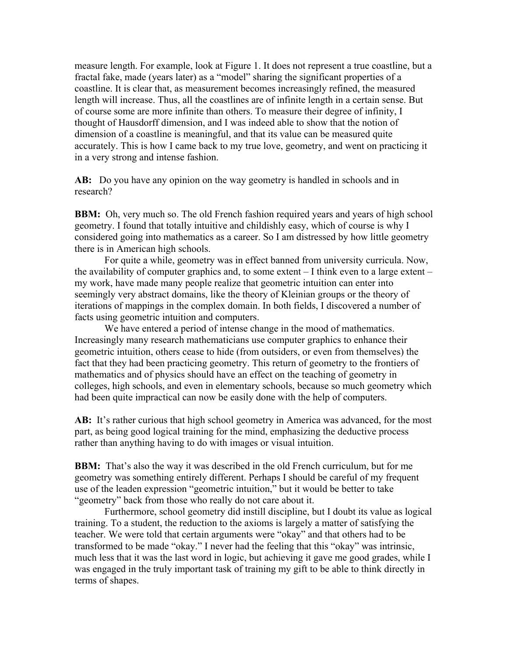measure length. For example, look at Figure 1. It does not represent a true coastline, but a fractal fake, made (years later) as a "model" sharing the significant properties of a coastline. It is clear that, as measurement becomes increasingly refined, the measured length will increase. Thus, all the coastlines are of infinite length in a certain sense. But of course some are more infinite than others. To measure their degree of infinity, I thought of Hausdorff dimension, and I was indeed able to show that the notion of dimension of a coastline is meaningful, and that its value can be measured quite accurately. This is how I came back to my true love, geometry, and went on practicing it in a very strong and intense fashion.

**AB:** Do you have any opinion on the way geometry is handled in schools and in research?

**BBM:** Oh, very much so. The old French fashion required years and years of high school geometry. I found that totally intuitive and childishly easy, which of course is why I considered going into mathematics as a career. So I am distressed by how little geometry there is in American high schools.

For quite a while, geometry was in effect banned from university curricula. Now, the availability of computer graphics and, to some extent – I think even to a large extent – my work, have made many people realize that geometric intuition can enter into seemingly very abstract domains, like the theory of Kleinian groups or the theory of iterations of mappings in the complex domain. In both fields, I discovered a number of facts using geometric intuition and computers.

We have entered a period of intense change in the mood of mathematics. Increasingly many research mathematicians use computer graphics to enhance their geometric intuition, others cease to hide (from outsiders, or even from themselves) the fact that they had been practicing geometry. This return of geometry to the frontiers of mathematics and of physics should have an effect on the teaching of geometry in colleges, high schools, and even in elementary schools, because so much geometry which had been quite impractical can now be easily done with the help of computers.

AB: It's rather curious that high school geometry in America was advanced, for the most part, as being good logical training for the mind, emphasizing the deductive process rather than anything having to do with images or visual intuition.

**BBM:** That's also the way it was described in the old French curriculum, but for me geometry was something entirely different. Perhaps I should be careful of my frequent use of the leaden expression "geometric intuition," but it would be better to take "geometry" back from those who really do not care about it.

Furthermore, school geometry did instill discipline, but I doubt its value as logical training. To a student, the reduction to the axioms is largely a matter of satisfying the teacher. We were told that certain arguments were "okay" and that others had to be transformed to be made "okay." I never had the feeling that this "okay" was intrinsic, much less that it was the last word in logic, but achieving it gave me good grades, while I was engaged in the truly important task of training my gift to be able to think directly in terms of shapes.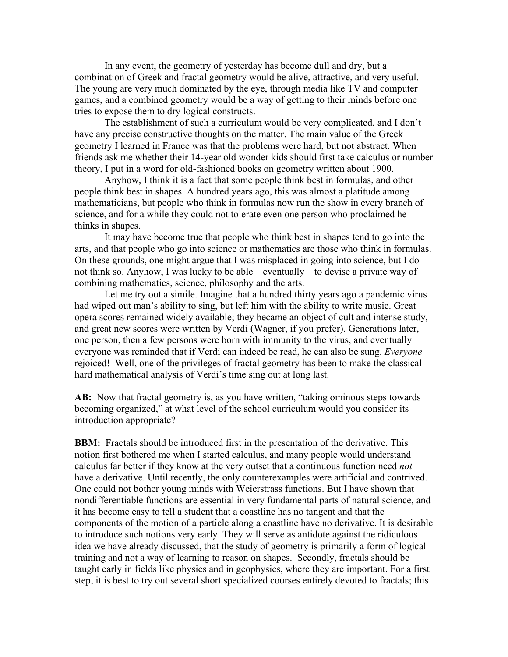In any event, the geometry of yesterday has become dull and dry, but a combination of Greek and fractal geometry would be alive, attractive, and very useful. The young are very much dominated by the eye, through media like TV and computer games, and a combined geometry would be a way of getting to their minds before one tries to expose them to dry logical constructs.

The establishment of such a curriculum would be very complicated, and I don't have any precise constructive thoughts on the matter. The main value of the Greek geometry I learned in France was that the problems were hard, but not abstract. When friends ask me whether their 14-year old wonder kids should first take calculus or number theory, I put in a word for old-fashioned books on geometry written about 1900.

Anyhow, I think it is a fact that some people think best in formulas, and other people think best in shapes. A hundred years ago, this was almost a platitude among mathematicians, but people who think in formulas now run the show in every branch of science, and for a while they could not tolerate even one person who proclaimed he thinks in shapes.

 It may have become true that people who think best in shapes tend to go into the arts, and that people who go into science or mathematics are those who think in formulas. On these grounds, one might argue that I was misplaced in going into science, but I do not think so. Anyhow, I was lucky to be able – eventually – to devise a private way of combining mathematics, science, philosophy and the arts.

Let me try out a simile. Imagine that a hundred thirty years ago a pandemic virus had wiped out man's ability to sing, but left him with the ability to write music. Great opera scores remained widely available; they became an object of cult and intense study, and great new scores were written by Verdi (Wagner, if you prefer). Generations later, one person, then a few persons were born with immunity to the virus, and eventually everyone was reminded that if Verdi can indeed be read, he can also be sung. *Everyone* rejoiced! Well, one of the privileges of fractal geometry has been to make the classical hard mathematical analysis of Verdi's time sing out at long last.

**AB:** Now that fractal geometry is, as you have written, "taking ominous steps towards becoming organized," at what level of the school curriculum would you consider its introduction appropriate?

**BBM:** Fractals should be introduced first in the presentation of the derivative. This notion first bothered me when I started calculus, and many people would understand calculus far better if they know at the very outset that a continuous function need *not* have a derivative. Until recently, the only counterexamples were artificial and contrived. One could not bother young minds with Weierstrass functions. But I have shown that nondifferentiable functions are essential in very fundamental parts of natural science, and it has become easy to tell a student that a coastline has no tangent and that the components of the motion of a particle along a coastline have no derivative. It is desirable to introduce such notions very early. They will serve as antidote against the ridiculous idea we have already discussed, that the study of geometry is primarily a form of logical training and not a way of learning to reason on shapes. Secondly, fractals should be taught early in fields like physics and in geophysics, where they are important. For a first step, it is best to try out several short specialized courses entirely devoted to fractals; this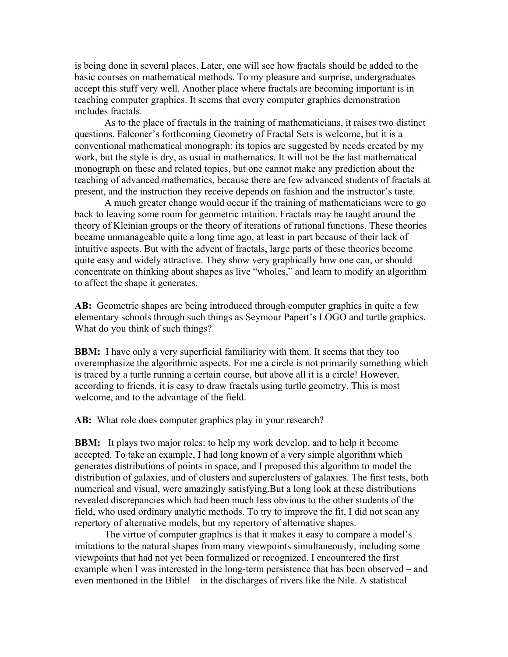is being done in several places. Later, one will see how fractals should be added to the basic courses on mathematical methods. To my pleasure and surprise, undergraduates accept this stuff very well. Another place where fractals are becoming important is in teaching computer graphics. It seems that every computer graphics demonstration includes fractals.

 As to the place of fractals in the training of mathematicians, it raises two distinct questions. Falconer's forthcoming Geometry of Fractal Sets is welcome, but it is a conventional mathematical monograph: its topics are suggested by needs created by my work, but the style is dry, as usual in mathematics. It will not be the last mathematical monograph on these and related topics, but one cannot make any prediction about the teaching of advanced mathematics, because there are few advanced students of fractals at present, and the instruction they receive depends on fashion and the instructor's taste.

A much greater change would occur if the training of mathematicians were to go back to leaving some room for geometric intuition. Fractals may be taught around the theory of Kleinian groups or the theory of iterations of rational functions. These theories became unmanageable quite a long time ago, at least in part because of their lack of intuitive aspects. But with the advent of fractals, large parts of these theories become quite easy and widely attractive. They show very graphically how one can, or should concentrate on thinking about shapes as live "wholes," and learn to modify an algorithm to affect the shape it generates.

**AB:** Geometric shapes are being introduced through computer graphics in quite a few elementary schools through such things as Seymour Papert's LOGO and turtle graphics. What do you think of such things?

**BBM:** I have only a very superficial familiarity with them. It seems that they too overemphasize the algorithmic aspects. For me a circle is not primarily something which is traced by a turtle running a certain course, but above all it is a circle! However, according to friends, it is easy to draw fractals using turtle geometry. This is most welcome, and to the advantage of the field.

AB: What role does computer graphics play in your research?

**BBM:** It plays two major roles: to help my work develop, and to help it become accepted. To take an example, I had long known of a very simple algorithm which generates distributions of points in space, and I proposed this algorithm to model the distribution of galaxies, and of clusters and superclusters of galaxies. The first tests, both numerical and visual, were amazingly satisfying.But a long look at these distributions revealed discrepancies which had been much less obvious to the other students of the field, who used ordinary analytic methods. To try to improve the fit, I did not scan any repertory of alternative models, but my repertory of alternative shapes.

 The virtue of computer graphics is that it makes it easy to compare a model's imitations to the natural shapes from many viewpoints simultaneously, including some viewpoints that had not yet been formalized or recognized. I encountered the first example when I was interested in the long-term persistence that has been observed – and even mentioned in the Bible! – in the discharges of rivers like the Nile. A statistical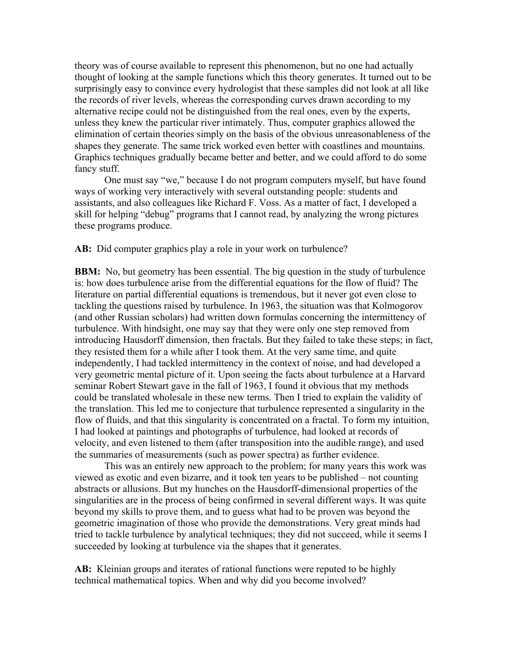theory was of course available to represent this phenomenon, but no one had actually thought of looking at the sample functions which this theory generates. It turned out to be surprisingly easy to convince every hydrologist that these samples did not look at all like the records of river levels, whereas the corresponding curves drawn according to my alternative recipe could not be distinguished from the real ones, even by the experts, unless they knew the particular river intimately. Thus, computer graphics allowed the elimination of certain theories simply on the basis of the obvious unreasonableness of the shapes they generate. The same trick worked even better with coastlines and mountains. Graphics techniques gradually became better and better, and we could afford to do some fancy stuff.

One must say "we," because I do not program computers myself, but have found ways of working very interactively with several outstanding people: students and assistants, and also colleagues like Richard F. Voss. As a matter of fact, I developed a skill for helping "debug" programs that I cannot read, by analyzing the wrong pictures these programs produce.

**AB:** Did computer graphics play a role in your work on turbulence?

**BBM:** No, but geometry has been essential. The big question in the study of turbulence is: how does turbulence arise from the differential equations for the flow of fluid? The literature on partial differential equations is tremendous, but it never got even close to tackling the questions raised by turbulence. In 1963, the situation was that Kolmogorov (and other Russian scholars) had written down formulas concerning the intermittency of turbulence. With hindsight, one may say that they were only one step removed from introducing Hausdorff dimension, then fractals. But they failed to take these steps; in fact, they resisted them for a while after I took them. At the very same time, and quite independently, I had tackled intermittency in the context of noise, and had developed a very geometric mental picture of it. Upon seeing the facts about turbulence at a Harvard seminar Robert Stewart gave in the fall of 1963, I found it obvious that my methods could be translated wholesale in these new terms. Then I tried to explain the validity of the translation. This led me to conjecture that turbulence represented a singularity in the flow of fluids, and that this singularity is concentrated on a fractal. To form my intuition, I had looked at paintings and photographs of turbulence, had looked at records of velocity, and even listened to them (after transposition into the audible range), and used the summaries of measurements (such as power spectra) as further evidence.

This was an entirely new approach to the problem; for many years this work was viewed as exotic and even bizarre, and it took ten years to be published – not counting abstracts or allusions. But my hunches on the Hausdorff-dimensional properties of the singularities are in the process of being confirmed in several different ways. It was quite beyond my skills to prove them, and to guess what had to be proven was beyond the geometric imagination of those who provide the demonstrations. Very great minds had tried to tackle turbulence by analytical techniques; they did not succeed, while it seems I succeeded by looking at turbulence via the shapes that it generates.

**AB:** Kleinian groups and iterates of rational functions were reputed to be highly technical mathematical topics. When and why did you become involved?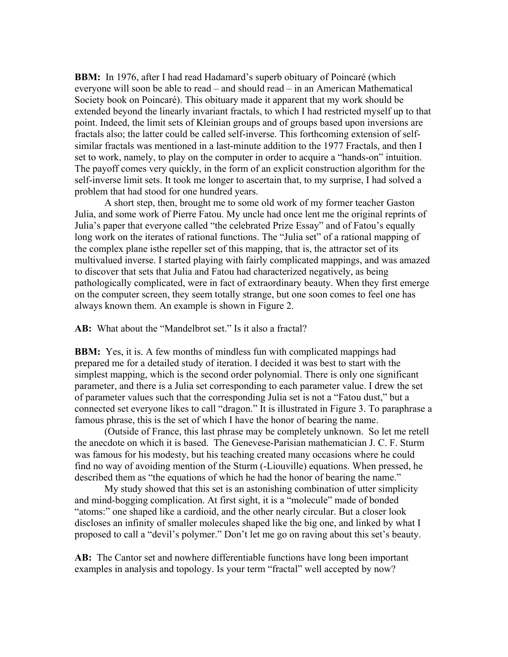**BBM:** In 1976, after I had read Hadamard's superb obituary of Poincaré (which everyone will soon be able to read – and should read – in an American Mathematical Society book on Poincaré). This obituary made it apparent that my work should be extended beyond the linearly invariant fractals, to which I had restricted myself up to that point. Indeed, the limit sets of Kleinian groups and of groups based upon inversions are fractals also; the latter could be called self-inverse. This forthcoming extension of selfsimilar fractals was mentioned in a last-minute addition to the 1977 Fractals, and then I set to work, namely, to play on the computer in order to acquire a "hands-on" intuition. The payoff comes very quickly, in the form of an explicit construction algorithm for the self-inverse limit sets. It took me longer to ascertain that, to my surprise, I had solved a problem that had stood for one hundred years.

A short step, then, brought me to some old work of my former teacher Gaston Julia, and some work of Pierre Fatou. My uncle had once lent me the original reprints of Julia's paper that everyone called "the celebrated Prize Essay" and of Fatou's equally long work on the iterates of rational functions. The "Julia set" of a rational mapping of the complex plane isthe repeller set of this mapping, that is, the attractor set of its multivalued inverse. I started playing with fairly complicated mappings, and was amazed to discover that sets that Julia and Fatou had characterized negatively, as being pathologically complicated, were in fact of extraordinary beauty. When they first emerge on the computer screen, they seem totally strange, but one soon comes to feel one has always known them. An example is shown in Figure 2.

AB: What about the "Mandelbrot set." Is it also a fractal?

**BBM:** Yes, it is. A few months of mindless fun with complicated mappings had prepared me for a detailed study of iteration. I decided it was best to start with the simplest mapping, which is the second order polynomial. There is only one significant parameter, and there is a Julia set corresponding to each parameter value. I drew the set of parameter values such that the corresponding Julia set is not a "Fatou dust," but a connected set everyone likes to call "dragon." It is illustrated in Figure 3. To paraphrase a famous phrase, this is the set of which I have the honor of bearing the name.

(Outside of France, this last phrase may be completely unknown. So let me retell the anecdote on which it is based. The Genevese-Parisian mathematician J. C. F. Sturm was famous for his modesty, but his teaching created many occasions where he could find no way of avoiding mention of the Sturm (-Liouville) equations. When pressed, he described them as "the equations of which he had the honor of bearing the name."

My study showed that this set is an astonishing combination of utter simplicity and mind-bogging complication. At first sight, it is a "molecule" made of bonded "atoms:" one shaped like a cardioid, and the other nearly circular. But a closer look discloses an infinity of smaller molecules shaped like the big one, and linked by what I proposed to call a "devil's polymer." Don't let me go on raving about this set's beauty.

**AB:** The Cantor set and nowhere differentiable functions have long been important examples in analysis and topology. Is your term "fractal" well accepted by now?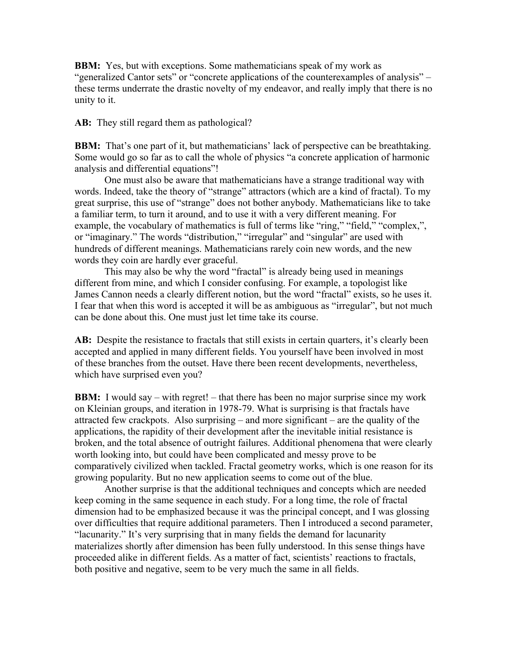**BBM:** Yes, but with exceptions. Some mathematicians speak of my work as "generalized Cantor sets" or "concrete applications of the counterexamples of analysis" – these terms underrate the drastic novelty of my endeavor, and really imply that there is no unity to it.

**AB:** They still regard them as pathological?

**BBM:** That's one part of it, but mathematicians' lack of perspective can be breathtaking. Some would go so far as to call the whole of physics "a concrete application of harmonic analysis and differential equations"!

One must also be aware that mathematicians have a strange traditional way with words. Indeed, take the theory of "strange" attractors (which are a kind of fractal). To my great surprise, this use of "strange" does not bother anybody. Mathematicians like to take a familiar term, to turn it around, and to use it with a very different meaning. For example, the vocabulary of mathematics is full of terms like "ring," "field," "complex,", or "imaginary." The words "distribution," "irregular" and "singular" are used with hundreds of different meanings. Mathematicians rarely coin new words, and the new words they coin are hardly ever graceful.

This may also be why the word "fractal" is already being used in meanings different from mine, and which I consider confusing. For example, a topologist like James Cannon needs a clearly different notion, but the word "fractal" exists, so he uses it. I fear that when this word is accepted it will be as ambiguous as "irregular", but not much can be done about this. One must just let time take its course.

**AB:** Despite the resistance to fractals that still exists in certain quarters, it's clearly been accepted and applied in many different fields. You yourself have been involved in most of these branches from the outset. Have there been recent developments, nevertheless, which have surprised even you?

**BBM:** I would say – with regret! – that there has been no major surprise since my work on Kleinian groups, and iteration in 1978-79. What is surprising is that fractals have attracted few crackpots. Also surprising – and more significant – are the quality of the applications, the rapidity of their development after the inevitable initial resistance is broken, and the total absence of outright failures. Additional phenomena that were clearly worth looking into, but could have been complicated and messy prove to be comparatively civilized when tackled. Fractal geometry works, which is one reason for its growing popularity. But no new application seems to come out of the blue.

Another surprise is that the additional techniques and concepts which are needed keep coming in the same sequence in each study. For a long time, the role of fractal dimension had to be emphasized because it was the principal concept, and I was glossing over difficulties that require additional parameters. Then I introduced a second parameter, "lacunarity." It's very surprising that in many fields the demand for lacunarity materializes shortly after dimension has been fully understood. In this sense things have proceeded alike in different fields. As a matter of fact, scientists' reactions to fractals, both positive and negative, seem to be very much the same in all fields.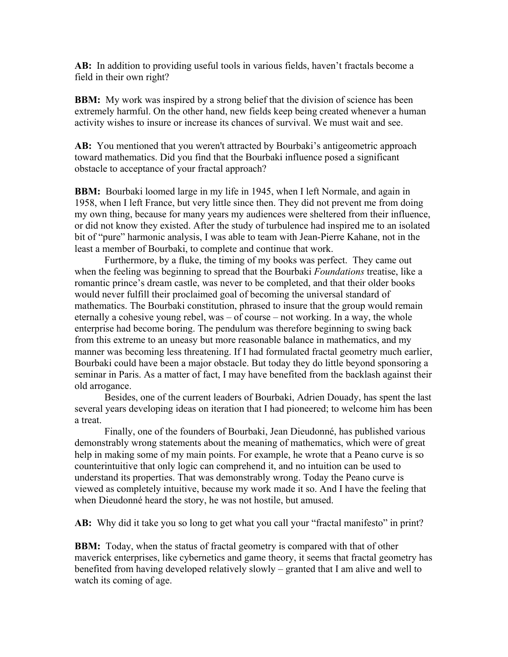**AB:** In addition to providing useful tools in various fields, haven't fractals become a field in their own right?

**BBM:** My work was inspired by a strong belief that the division of science has been extremely harmful. On the other hand, new fields keep being created whenever a human activity wishes to insure or increase its chances of survival. We must wait and see.

**AB:** You mentioned that you weren't attracted by Bourbaki's antigeometric approach toward mathematics. Did you find that the Bourbaki influence posed a significant obstacle to acceptance of your fractal approach?

**BBM:** Bourbaki loomed large in my life in 1945, when I left Normale, and again in 1958, when I left France, but very little since then. They did not prevent me from doing my own thing, because for many years my audiences were sheltered from their influence, or did not know they existed. After the study of turbulence had inspired me to an isolated bit of "pure" harmonic analysis, I was able to team with Jean-Pierre Kahane, not in the least a member of Bourbaki, to complete and continue that work.

Furthermore, by a fluke, the timing of my books was perfect. They came out when the feeling was beginning to spread that the Bourbaki *Foundations* treatise, like a romantic prince's dream castle, was never to be completed, and that their older books would never fulfill their proclaimed goal of becoming the universal standard of mathematics. The Bourbaki constitution, phrased to insure that the group would remain eternally a cohesive young rebel, was – of course – not working. In a way, the whole enterprise had become boring. The pendulum was therefore beginning to swing back from this extreme to an uneasy but more reasonable balance in mathematics, and my manner was becoming less threatening. If I had formulated fractal geometry much earlier, Bourbaki could have been a major obstacle. But today they do little beyond sponsoring a seminar in Paris. As a matter of fact, I may have benefited from the backlash against their old arrogance.

 Besides, one of the current leaders of Bourbaki, Adrien Douady, has spent the last several years developing ideas on iteration that I had pioneered; to welcome him has been a treat.

Finally, one of the founders of Bourbaki, Jean Dieudonné, has published various demonstrably wrong statements about the meaning of mathematics, which were of great help in making some of my main points. For example, he wrote that a Peano curve is so counterintuitive that only logic can comprehend it, and no intuition can be used to understand its properties. That was demonstrably wrong. Today the Peano curve is viewed as completely intuitive, because my work made it so. And I have the feeling that when Dieudonné heard the story, he was not hostile, but amused.

AB: Why did it take you so long to get what you call your "fractal manifesto" in print?

**BBM:** Today, when the status of fractal geometry is compared with that of other maverick enterprises, like cybernetics and game theory, it seems that fractal geometry has benefited from having developed relatively slowly – granted that I am alive and well to watch its coming of age.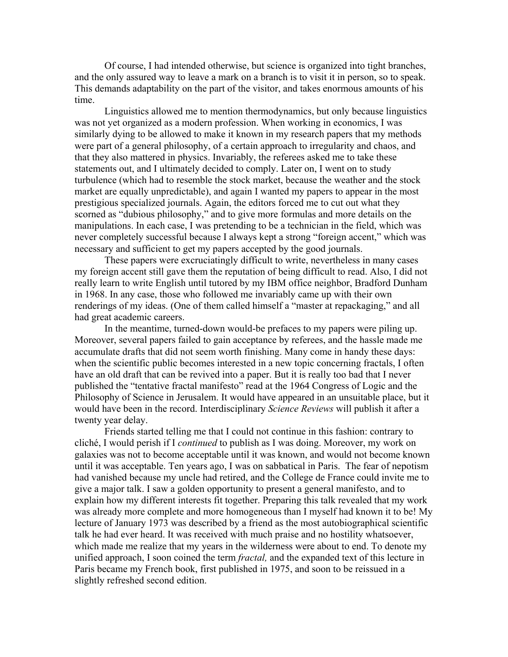Of course, I had intended otherwise, but science is organized into tight branches, and the only assured way to leave a mark on a branch is to visit it in person, so to speak. This demands adaptability on the part of the visitor, and takes enormous amounts of his time.

Linguistics allowed me to mention thermodynamics, but only because linguistics was not yet organized as a modern profession. When working in economics, I was similarly dying to be allowed to make it known in my research papers that my methods were part of a general philosophy, of a certain approach to irregularity and chaos, and that they also mattered in physics. Invariably, the referees asked me to take these statements out, and I ultimately decided to comply. Later on, I went on to study turbulence (which had to resemble the stock market, because the weather and the stock market are equally unpredictable), and again I wanted my papers to appear in the most prestigious specialized journals. Again, the editors forced me to cut out what they scorned as "dubious philosophy," and to give more formulas and more details on the manipulations. In each case, I was pretending to be a technician in the field, which was never completely successful because I always kept a strong "foreign accent," which was necessary and sufficient to get my papers accepted by the good journals.

These papers were excruciatingly difficult to write, nevertheless in many cases my foreign accent still gave them the reputation of being difficult to read. Also, I did not really learn to write English until tutored by my IBM office neighbor, Bradford Dunham in 1968. In any case, those who followed me invariably came up with their own renderings of my ideas. (One of them called himself a "master at repackaging," and all had great academic careers.

In the meantime, turned-down would-be prefaces to my papers were piling up. Moreover, several papers failed to gain acceptance by referees, and the hassle made me accumulate drafts that did not seem worth finishing. Many come in handy these days: when the scientific public becomes interested in a new topic concerning fractals, I often have an old draft that can be revived into a paper. But it is really too bad that I never published the "tentative fractal manifesto" read at the 1964 Congress of Logic and the Philosophy of Science in Jerusalem. It would have appeared in an unsuitable place, but it would have been in the record. Interdisciplinary *Science Reviews* will publish it after a twenty year delay.

Friends started telling me that I could not continue in this fashion: contrary to cliché, I would perish if I *continued* to publish as I was doing. Moreover, my work on galaxies was not to become acceptable until it was known, and would not become known until it was acceptable. Ten years ago, I was on sabbatical in Paris. The fear of nepotism had vanished because my uncle had retired, and the College de France could invite me to give a major talk. I saw a golden opportunity to present a general manifesto, and to explain how my different interests fit together. Preparing this talk revealed that my work was already more complete and more homogeneous than I myself had known it to be! My lecture of January 1973 was described by a friend as the most autobiographical scientific talk he had ever heard. It was received with much praise and no hostility whatsoever, which made me realize that my years in the wilderness were about to end. To denote my unified approach, I soon coined the term *fractal,* and the expanded text of this lecture in Paris became my French book, first published in 1975, and soon to be reissued in a slightly refreshed second edition.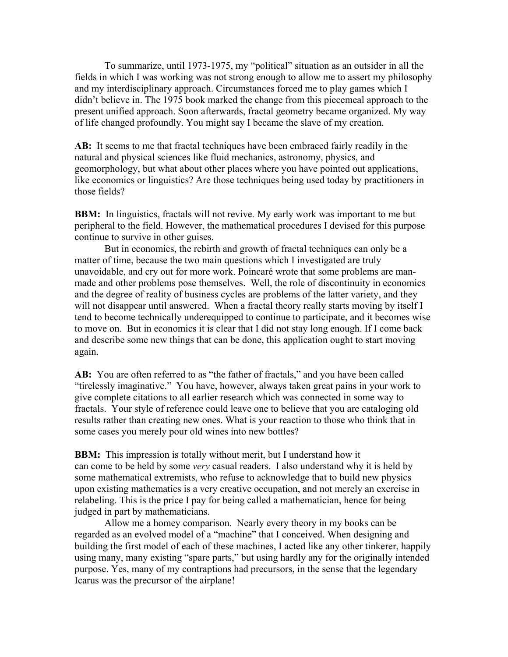To summarize, until 1973-1975, my "political" situation as an outsider in all the fields in which I was working was not strong enough to allow me to assert my philosophy and my interdisciplinary approach. Circumstances forced me to play games which I didn't believe in. The 1975 book marked the change from this piecemeal approach to the present unified approach. Soon afterwards, fractal geometry became organized. My way of life changed profoundly. You might say I became the slave of my creation.

**AB:** It seems to me that fractal techniques have been embraced fairly readily in the natural and physical sciences like fluid mechanics, astronomy, physics, and geomorphology, but what about other places where you have pointed out applications, like economics or linguistics? Are those techniques being used today by practitioners in those fields?

**BBM:** In linguistics, fractals will not revive. My early work was important to me but peripheral to the field. However, the mathematical procedures I devised for this purpose continue to survive in other guises.

But in economics, the rebirth and growth of fractal techniques can only be a matter of time, because the two main questions which I investigated are truly unavoidable, and cry out for more work. Poincaré wrote that some problems are manmade and other problems pose themselves. Well, the role of discontinuity in economics and the degree of reality of business cycles are problems of the latter variety, and they will not disappear until answered. When a fractal theory really starts moving by itself I tend to become technically underequipped to continue to participate, and it becomes wise to move on. But in economics it is clear that I did not stay long enough. If I come back and describe some new things that can be done, this application ought to start moving again.

AB: You are often referred to as "the father of fractals," and you have been called "tirelessly imaginative." You have, however, always taken great pains in your work to give complete citations to all earlier research which was connected in some way to fractals. Your style of reference could leave one to believe that you are cataloging old results rather than creating new ones. What is your reaction to those who think that in some cases you merely pour old wines into new bottles?

**BBM:** This impression is totally without merit, but I understand how it can come to be held by some *very* casual readers. I also understand why it is held by some mathematical extremists, who refuse to acknowledge that to build new physics upon existing mathematics is a very creative occupation, and not merely an exercise in relabeling. This is the price I pay for being called a mathematician, hence for being judged in part by mathematicians.

Allow me a homey comparison. Nearly every theory in my books can be regarded as an evolved model of a "machine" that I conceived. When designing and building the first model of each of these machines, I acted like any other tinkerer, happily using many, many existing "spare parts," but using hardly any for the originally intended purpose. Yes, many of my contraptions had precursors, in the sense that the legendary Icarus was the precursor of the airplane!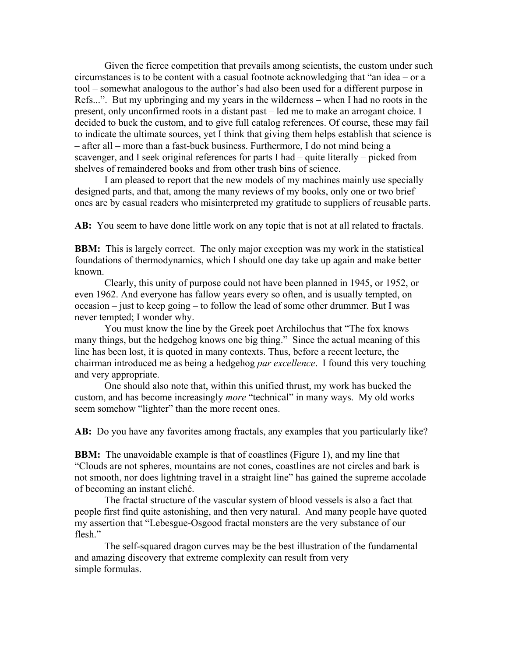Given the fierce competition that prevails among scientists, the custom under such circumstances is to be content with a casual footnote acknowledging that "an idea – or a tool – somewhat analogous to the author's had also been used for a different purpose in Refs...". But my upbringing and my years in the wilderness – when I had no roots in the present, only unconfirmed roots in a distant past – led me to make an arrogant choice. I decided to buck the custom, and to give full catalog references. Of course, these may fail to indicate the ultimate sources, yet I think that giving them helps establish that science is – after all – more than a fast-buck business. Furthermore, I do not mind being a scavenger, and I seek original references for parts I had – quite literally – picked from shelves of remaindered books and from other trash bins of science.

I am pleased to report that the new models of my machines mainly use specially designed parts, and that, among the many reviews of my books, only one or two brief ones are by casual readers who misinterpreted my gratitude to suppliers of reusable parts.

**AB:** You seem to have done little work on any topic that is not at all related to fractals.

**BBM:** This is largely correct. The only major exception was my work in the statistical foundations of thermodynamics, which I should one day take up again and make better known.

Clearly, this unity of purpose could not have been planned in 1945, or 1952, or even 1962. And everyone has fallow years every so often, and is usually tempted, on occasion – just to keep going – to follow the lead of some other drummer. But I was never tempted; I wonder why.

You must know the line by the Greek poet Archilochus that "The fox knows many things, but the hedgehog knows one big thing." Since the actual meaning of this line has been lost, it is quoted in many contexts. Thus, before a recent lecture, the chairman introduced me as being a hedgehog *par excellence*. I found this very touching and very appropriate.

One should also note that, within this unified thrust, my work has bucked the custom, and has become increasingly *more* "technical" in many ways. My old works seem somehow "lighter" than the more recent ones.

AB: Do you have any favorites among fractals, any examples that you particularly like?

**BBM:** The unavoidable example is that of coastlines (Figure 1), and my line that "Clouds are not spheres, mountains are not cones, coastlines are not circles and bark is not smooth, nor does lightning travel in a straight line" has gained the supreme accolade of becoming an instant cliché.

The fractal structure of the vascular system of blood vessels is also a fact that people first find quite astonishing, and then very natural. And many people have quoted my assertion that "Lebesgue-Osgood fractal monsters are the very substance of our flesh."

The self-squared dragon curves may be the best illustration of the fundamental and amazing discovery that extreme complexity can result from very simple formulas.